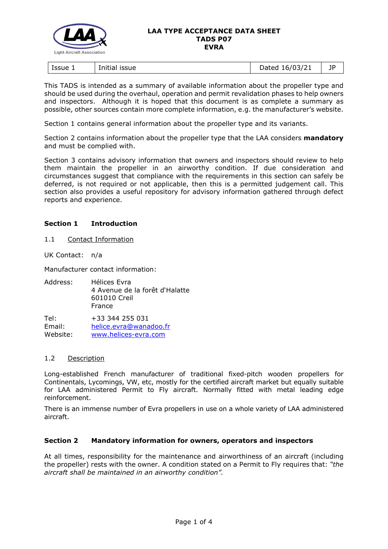

#### **LAA TYPE ACCEPTANCE DATA SHEET TADS P07 EVRA**

| Issue 1 | <b>ISSUE</b> | 16/03/21 | 1P |
|---------|--------------|----------|----|
|         | Initial      | Dated    |    |

This TADS is intended as a summary of available information about the propeller type and should be used during the overhaul, operation and permit revalidation phases to help owners and inspectors. Although it is hoped that this document is as complete a summary as possible, other sources contain more complete information, e.g. the manufacturer's website.

Section 1 contains general information about the propeller type and its variants.

Section 2 contains information about the propeller type that the LAA considers **mandatory** and must be complied with.

Section 3 contains advisory information that owners and inspectors should review to help them maintain the propeller in an airworthy condition. If due consideration and circumstances suggest that compliance with the requirements in this section can safely be deferred, is not required or not applicable, then this is a permitted judgement call. This section also provides a useful repository for advisory information gathered through defect reports and experience.

# **Section 1 Introduction**

1.1 Contact Information

UK Contact: n/a

Manufacturer contact information:

Address: Hélices Evra 4 Avenue de la forêt d'Halatte 601010 Creil France

Tel: +33 344 255 031 Email: [helice.evra@wanadoo.fr](mailto:helice.evra@wanadoo.fr) Website: [www.helices-evra.com](https://www.helices-evra.com/)

### 1.2 Description

Long-established French manufacturer of traditional fixed-pitch wooden propellers for Continentals, Lycomings, VW, etc, mostly for the certified aircraft market but equally suitable for LAA administered Permit to Fly aircraft. Normally fitted with metal leading edge reinforcement.

There is an immense number of Evra propellers in use on a whole variety of LAA administered aircraft.

### **Section 2 Mandatory information for owners, operators and inspectors**

At all times, responsibility for the maintenance and airworthiness of an aircraft (including the propeller) rests with the owner. A condition stated on a Permit to Fly requires that: *"the aircraft shall be maintained in an airworthy condition".*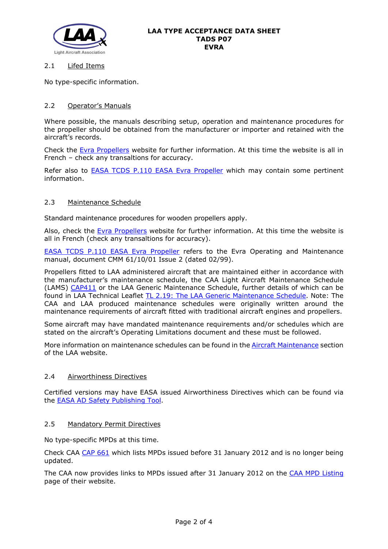

## 2.1 Lifed Items

No type-specific information.

# 2.2 Operator's Manuals

Where possible, the manuals describing setup, operation and maintenance procedures for the propeller should be obtained from the manufacturer or importer and retained with the aircraft's records.

Check the [Evra Propellers](https://www.helices-evra.com/) website for further information. At this time the website is all in French – check any transaltions for accuracy.

Refer also to [EASA TCDS P.110 EASA Evra Propeller](http://www.lightaircraftassociation.co.uk/engineering/TADs/P07/EASA-TCDS-P.110_Helice_Evra_series_propellers-01-20042007.pdf) which may contain some pertinent information.

### 2.3 Maintenance Schedule

Standard maintenance procedures for wooden propellers apply.

Also, check the [Evra Propellers](https://www.helices-evra.com/) website for further information. At this time the website is all in French (check any transaltions for accuracy).

[EASA TCDS P.110 EASA Evra Propeller](http://www.lightaircraftassociation.co.uk/engineering/TADs/P07/EASA-TCDS-P.110_Helice_Evra_series_propellers-01-20042007.pdf) refers to the Evra Operating and Maintenance manual, document CMM 61/10/01 Issue 2 (dated 02/99).

Propellers fitted to LAA administered aircraft that are maintained either in accordance with the manufacturer's maintenance schedule, the CAA Light Aircraft Maintenance Schedule (LAMS) [CAP411](http://www.caa.co.uk/CAP411) or the LAA Generic Maintenance Schedule, further details of which can be found in LAA Technical Leaflet [TL 2.19: The LAA Generic Maintenance Schedule.](http://www.lightaircraftassociation.co.uk/engineering/TechnicalLeaflets/Operating%20An%20Aircraft/TL%202.19%20The%20LAA%20Generic%20Maintenance%20Schedule.pdf) Note: The CAA and LAA produced maintenance schedules were originally written around the maintenance requirements of aircraft fitted with traditional aircraft engines and propellers.

Some aircraft may have mandated maintenance requirements and/or schedules which are stated on the aircraft's Operating Limitations document and these must be followed.

More information on maintenance schedules can be found in the **Aircraft Maintenance** section of the LAA website.

## 2.4 Airworthiness Directives

Certified versions may have EASA issued Airworthiness Directives which can be found via the [EASA AD Safety Publishing Tool.](https://ad.easa.europa.eu/search/advanced)

### 2.5 Mandatory Permit Directives

No type-specific MPDs at this time.

Check CAA [CAP 661](http://www.caa.co.uk/cap661) which lists MPDs issued before 31 January 2012 and is no longer being updated.

The CAA now provides links to MPDs issued after 31 January 2012 on the [CAA MPD Listing](http://publicapps.caa.co.uk/modalapplication.aspx?appid=11&mode=list&type=sercat&id=55) page of their website.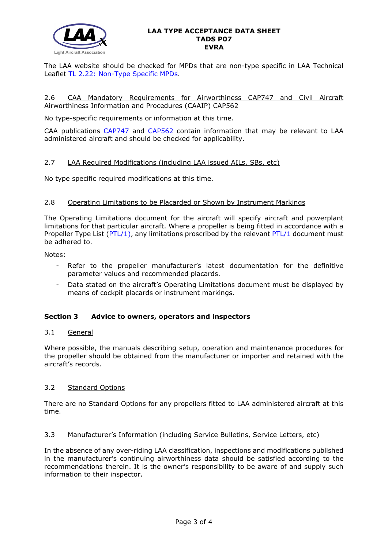

#### **LAA TYPE ACCEPTANCE DATA SHEET TADS P07 EVRA**

The LAA website should be checked for MPDs that are non-type specific in LAA Technical Leaflet [TL 2.22: Non-Type Specific MPDs.](http://www.lightaircraftassociation.co.uk/engineering/TechnicalLeaflets/Operating%20An%20Aircraft/TL%202.22%20non-type%20specific%20MPDs.pdf)

### 2.6 CAA Mandatory Requirements for Airworthiness CAP747 and Civil Aircraft Airworthiness Information and Procedures (CAAIP) CAP562

No type-specific requirements or information at this time.

CAA publications [CAP747](http://www.caa.co.uk/CAP747) and [CAP562](http://www.caa.co.uk/CAP562) contain information that may be relevant to LAA administered aircraft and should be checked for applicability.

### 2.7 LAA Required Modifications (including LAA issued AILs, SBs, etc)

No type specific required modifications at this time.

### 2.8 Operating Limitations to be Placarded or Shown by Instrument Markings

The Operating Limitations document for the aircraft will specify aircraft and powerplant limitations for that particular aircraft. Where a propeller is being fitted in accordance with a Propeller Type List ( $PTL/1$ ), any limitations proscribed by the relevant  $PTL/1$  document must be adhered to.

Notes:

- Refer to the propeller manufacturer's latest documentation for the definitive parameter values and recommended placards.
- Data stated on the aircraft's Operating Limitations document must be displayed by means of cockpit placards or instrument markings.

### **Section 3 Advice to owners, operators and inspectors**

### 3.1 General

Where possible, the manuals describing setup, operation and maintenance procedures for the propeller should be obtained from the manufacturer or importer and retained with the aircraft's records.

### 3.2 Standard Options

There are no Standard Options for any propellers fitted to LAA administered aircraft at this time.

## 3.3 Manufacturer's Information (including Service Bulletins, Service Letters, etc)

In the absence of any over-riding LAA classification, inspections and modifications published in the manufacturer's continuing airworthiness data should be satisfied according to the recommendations therein. It is the owner's responsibility to be aware of and supply such information to their inspector.